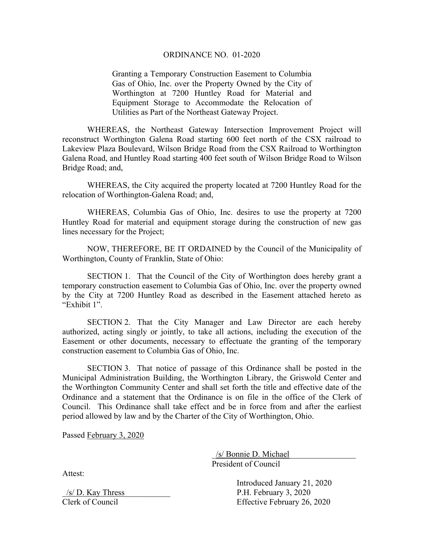## ORDINANCE NO. 01-2020

Granting a Temporary Construction Easement to Columbia Gas of Ohio, Inc. over the Property Owned by the City of Worthington at 7200 Huntley Road for Material and Equipment Storage to Accommodate the Relocation of Utilities as Part of the Northeast Gateway Project.

 WHEREAS, the Northeast Gateway Intersection Improvement Project will reconstruct Worthington Galena Road starting 600 feet north of the CSX railroad to Lakeview Plaza Boulevard, Wilson Bridge Road from the CSX Railroad to Worthington Galena Road, and Huntley Road starting 400 feet south of Wilson Bridge Road to Wilson Bridge Road; and,

 WHEREAS, the City acquired the property located at 7200 Huntley Road for the relocation of Worthington-Galena Road; and,

 WHEREAS, Columbia Gas of Ohio, Inc. desires to use the property at 7200 Huntley Road for material and equipment storage during the construction of new gas lines necessary for the Project;

 NOW, THEREFORE, BE IT ORDAINED by the Council of the Municipality of Worthington, County of Franklin, State of Ohio:

 SECTION 1. That the Council of the City of Worthington does hereby grant a temporary construction easement to Columbia Gas of Ohio, Inc. over the property owned by the City at 7200 Huntley Road as described in the Easement attached hereto as "Exhibit 1".

SECTION 2. That the City Manager and Law Director are each hereby authorized, acting singly or jointly, to take all actions, including the execution of the Easement or other documents, necessary to effectuate the granting of the temporary construction easement to Columbia Gas of Ohio, Inc.

SECTION 3. That notice of passage of this Ordinance shall be posted in the Municipal Administration Building, the Worthington Library, the Griswold Center and the Worthington Community Center and shall set forth the title and effective date of the Ordinance and a statement that the Ordinance is on file in the office of the Clerk of Council. This Ordinance shall take effect and be in force from and after the earliest period allowed by law and by the Charter of the City of Worthington, Ohio.

Passed February 3, 2020

 \_/s/ Bonnie D. Michael\_\_\_\_\_\_\_\_\_\_\_\_\_\_\_\_ President of Council

 Introduced January 21, 2020  $/s/D$ . Kay Thress  $P.H.$  February 3, 2020 Clerk of Council Effective February 26, 2020

Attest: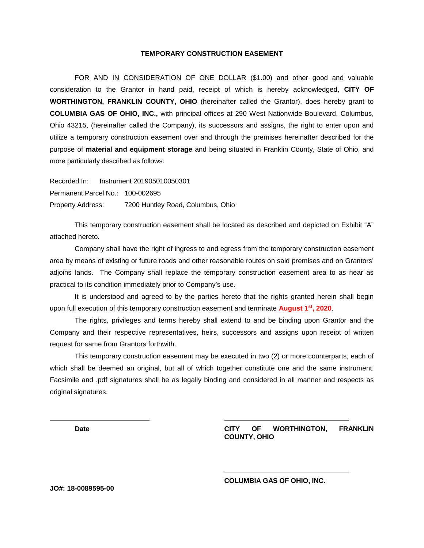## **TEMPORARY CONSTRUCTION EASEMENT**

FOR AND IN CONSIDERATION OF ONE DOLLAR (\$1.00) and other good and valuable consideration to the Grantor in hand paid, receipt of which is hereby acknowledged, **CITY OF WORTHINGTON, FRANKLIN COUNTY, OHIO** (hereinafter called the Grantor), does hereby grant to **COLUMBIA GAS OF OHIO, INC.,** with principal offices at 290 West Nationwide Boulevard, Columbus, Ohio 43215, (hereinafter called the Company), its successors and assigns, the right to enter upon and utilize a temporary construction easement over and through the premises hereinafter described for the purpose of **material and equipment storage** and being situated in Franklin County, State of Ohio, and more particularly described as follows:

Recorded In: Instrument 201905010050301 Permanent Parcel No.: 100-002695 Property Address: 7200 Huntley Road, Columbus, Ohio

This temporary construction easement shall be located as described and depicted on Exhibit "A" attached hereto**.**

Company shall have the right of ingress to and egress from the temporary construction easement area by means of existing or future roads and other reasonable routes on said premises and on Grantors' adjoins lands. The Company shall replace the temporary construction easement area to as near as practical to its condition immediately prior to Company's use.

It is understood and agreed to by the parties hereto that the rights granted herein shall begin upon full execution of this temporary construction easement and terminate **August 1st, 2020**.

The rights, privileges and terms hereby shall extend to and be binding upon Grantor and the Company and their respective representatives, heirs, successors and assigns upon receipt of written request for same from Grantors forthwith.

This temporary construction easement may be executed in two (2) or more counterparts, each of which shall be deemed an original, but all of which together constitute one and the same instrument. Facsimile and .pdf signatures shall be as legally binding and considered in all manner and respects as original signatures.

**Date CITY OF WORTHINGTON, FRANKLIN COUNTY, OHIO**

**COLUMBIA GAS OF OHIO, INC.**

**JO#: 18-0089595-00**